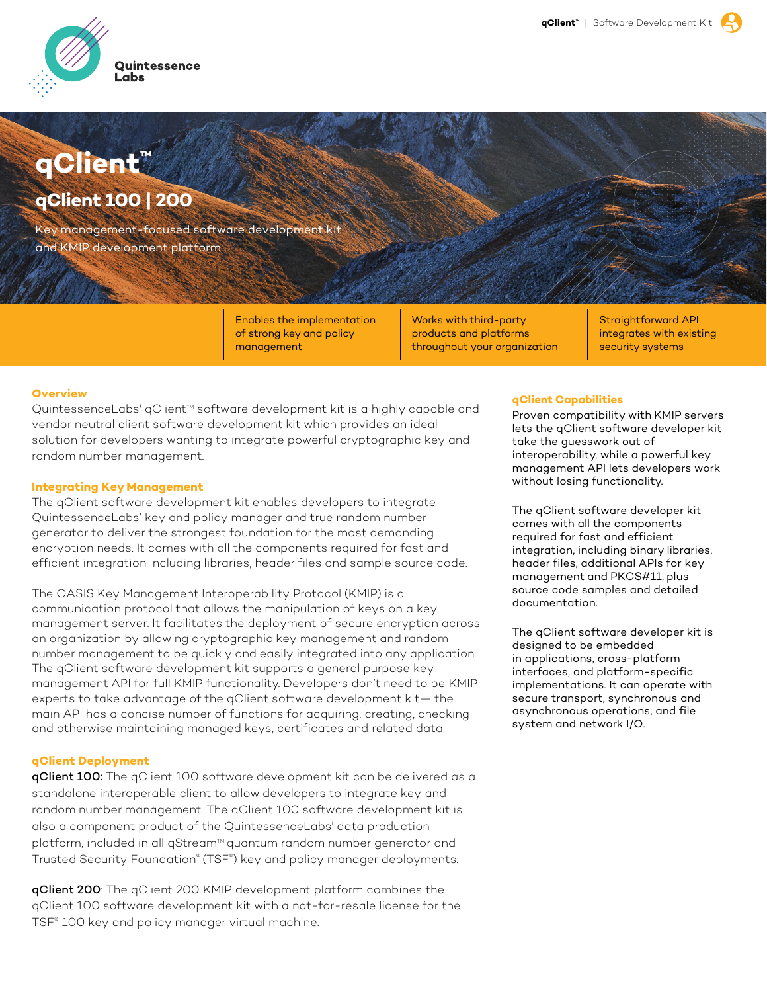

# **qClient™**

## **qClient 100 | 200**

Key management-focused software development kit and KMIP development platform

> Enables the implementation of strong key and policy management

Works with third-party products and platforms throughout your organization

Straightforward API integrates with existing security systems

#### **Overview**

QuintessenceLabs' qClient™ software development kit is a highly capable and vendor neutral client software development kit which provides an ideal solution for developers wanting to integrate powerful cryptographic key and random number management.

#### **Integrating Key Management**

The qClient software development kit enables developers to integrate QuintessenceLabs' key and policy manager and true random number generator to deliver the strongest foundation for the most demanding encryption needs. It comes with all the components required for fast and efficient integration including libraries, header files and sample source code.

The OASIS Key Management Interoperability Protocol (KMIP) is a communication protocol that allows the manipulation of keys on a key management server. It facilitates the deployment of secure encryption across an organization by allowing cryptographic key management and random number management to be quickly and easily integrated into any application. The qClient software development kit supports a general purpose key management API for full KMIP functionality. Developers don't need to be KMIP experts to take advantage of the qClient software development kit— the main API has a concise number of functions for acquiring, creating, checking and otherwise maintaining managed keys, certificates and related data.

#### **qClient Deployment**

qClient 100: The qClient 100 software development kit can be delivered as a standalone interoperable client to allow developers to integrate key and random number management. The qClient 100 software development kit is also a component product of the QuintessenceLabs' data production platform, included in all qStream<sup>M</sup> quantum random number generator and Trusted Security Foundation® (TSF® ) key and policy manager deployments.

qClient 200: The qClient 200 KMIP development platform combines the qClient 100 software development kit with a not-for-resale license for the TSF® 100 key and policy manager virtual machine.

#### **qClient Capabilities**

Proven compatibility with KMIP servers lets the qClient software developer kit take the guesswork out of interoperability, while a powerful key management API lets developers work without losing functionality.

The qClient software developer kit comes with all the components required for fast and efficient integration, including binary libraries, header files, additional APIs for key management and PKCS#11, plus source code samples and detailed documentation.

The qClient software developer kit is designed to be embedded in applications, cross-platform interfaces, and platform-specific implementations. It can operate with secure transport, synchronous and asynchronous operations, and file system and network I/O.